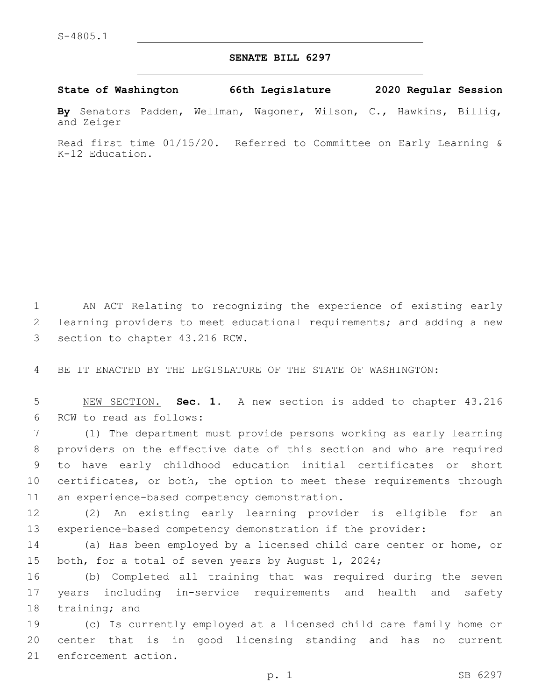## **SENATE BILL 6297**

**State of Washington 66th Legislature 2020 Regular Session**

**By** Senators Padden, Wellman, Wagoner, Wilson, C., Hawkins, Billig, and Zeiger

Read first time 01/15/20. Referred to Committee on Early Learning & K-12 Education.

1 AN ACT Relating to recognizing the experience of existing early 2 learning providers to meet educational requirements; and adding a new 3 section to chapter 43.216 RCW.

4 BE IT ENACTED BY THE LEGISLATURE OF THE STATE OF WASHINGTON:

5 NEW SECTION. **Sec. 1.** A new section is added to chapter 43.216 6 RCW to read as follows:

7 (1) The department must provide persons working as early learning 8 providers on the effective date of this section and who are required 9 to have early childhood education initial certificates or short 10 certificates, or both, the option to meet these requirements through 11 an experience-based competency demonstration.

12 (2) An existing early learning provider is eligible for an 13 experience-based competency demonstration if the provider:

14 (a) Has been employed by a licensed child care center or home, or 15 both, for a total of seven years by August 1, 2024;

16 (b) Completed all training that was required during the seven 17 years including in-service requirements and health and safety 18 training; and

19 (c) Is currently employed at a licensed child care family home or 20 center that is in good licensing standing and has no current 21 enforcement action.